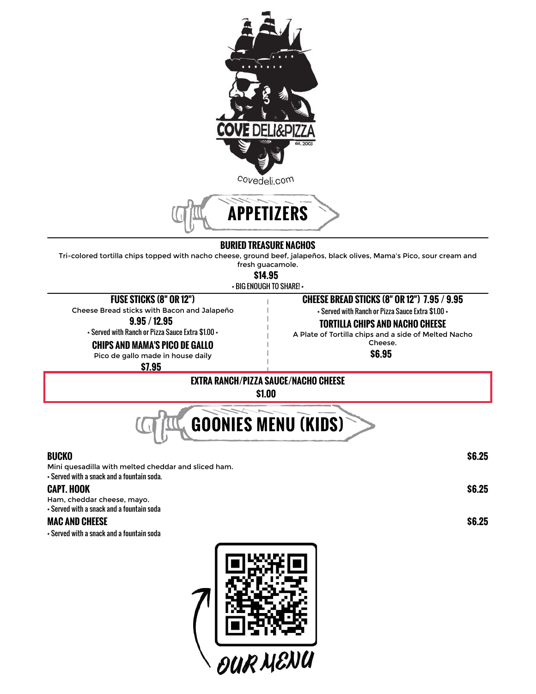

### **BURIED TREASURE NACHOS**

Tri-colored tortilla chips topped with nacho cheese, ground beef, jalapeños, black olives, Mama's Pico, sour cream and fresh guacamole.

**\$14.95**

+ BIG ENOUGH TO SHARE! +

### **FUSE STICKS (8" OR 12")**

Cheese Bread sticks with Bacon and Jalapeño **9.95 / 12.95**

+ Served with Ranch or Pizza Sauce Extra \$1.00 +

**CHIPS AND MAMA'S PICO DE GALLO**

+ Served with Ranch or Pizza Sauce Extra \$1.00 +

### **TORTILLA CHIPS AND NACHO CHEESE**

**CHEESE BREAD STICKS (8" OR 12") 7.95 / 9.95**

A Plate of Tortilla chips and a side of Melted Nacho Cheese.

**\$6.95**

Pico de gallo made in house daily

**\$7.95**

### **EXTRA RANCH/PIZZA SAUCE/NACHO CHEESE \$1.00**



**BUCKO \$6.25** Mini quesadilla with melted cheddar and sliced ham. + Served with a snack and a fountain soda.

### **CAPT. HOOK \$6.25**

Ham, cheddar cheese, mayo. + Served with a snack and a fountain soda

### **MAC AND CHEESE \$6.25**

+ Served with a snack and a fountain soda

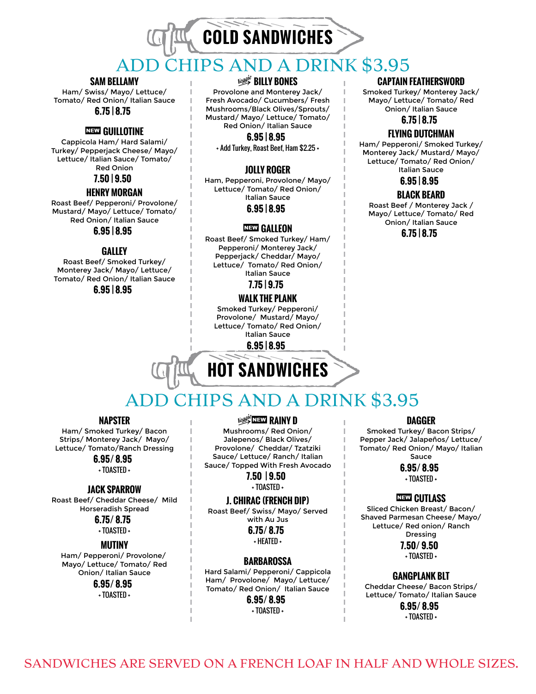# **COLD SANDWICHES** IPS AND A DRINK \$3.95

### **SAM BELLAMY**

Ham/ Swiss/ Mayo/ Lettuce/ Tomato/ Red Onion/ Italian Sauce **6.75 | 8.75**

### ,**GUILLOTINE**

Cappicola Ham/ Hard Salami/ Turkey/ Pepperjack Cheese/ Mayo/ Lettuce/ Italian Sauce/ Tomato/ Red Onion

### **7.50 | 9.50**

### **HENRY MORGAN**

Roast Beef/ Pepperoni/ Provolone/ Mustard/ Mayo/ Lettuce/ Tomato/ Red Onion/ Italian Sauce

### **GALLEY**

Roast Beef/ Smoked Turkey/ Monterey Jack/ Mayo/ Lettuce/ Tomato/ Red Onion/ Italian Sauce

**6.95 | 8.95**

### À**BILLY BONES**

Provolone and Monterey Jack/ Fresh Avocado/ Cucumbers/ Fresh Mushrooms/Black Olives/Sprouts/ Mustard/ Mayo/ Lettuce/ Tomato/ Red Onion/ Italian Sauce

**6.95 | 8.95**

+ Add Turkey, Roast Beef, Ham \$2.25 +

### **JOLLY ROGER**

Ham, Pepperoni, Provolone/ Mayo/ Lettuce/ Tomato/ Red Onion/ Italian Sauce **6.95 | 8.95**

### **6.95 | 8.95** *GALLEON*

Roast Beef/ Smoked Turkey/ Ham/ Pepperoni/ Monterey Jack/ Pepperjack/ Cheddar/ Mayo/ Lettuce/ Tomato/ Red Onion/ Italian Sauce

**7.75 | 9.75**

### **WALK THE PLANK**

Smoked Turkey/ Pepperoni/ Provolone/ Mustard/ Mayo/ Lettuce/ Tomato/ Red Onion/ Italian Sauce

**6.95 | 8.95**

# **HOT SANDWICHES**

### **CAPTAIN FEATHERSWORD**

Smoked Turkey/ Monterey Jack/ Mayo/ Lettuce/ Tomato/ Red Onion/ Italian Sauce **6.75 | 8.75**

### **FLYING DUTCHMAN**

Ham/ Pepperoni/ Smoked Turkey/ Monterey Jack/ Mustard/ Mayo/ Lettuce/ Tomato/ Red Onion/ Italian Sauce

**6.95 | 8.95**

### **BLACK BEARD**

Roast Beef / Monterey Jack / Mayo/ Lettuce/ Tomato/ Red Onion/ Italian Sauce

**6.75 | 8.75**

### ADD CHIPS AND A DRINK \$3.95

### **NAPSTER**

Ham/ Smoked Turkey/ Bacon Strips/ Monterey Jack/ Mayo/ Lettuce/ Tomato/Ranch Dressing

**6.95/ 8.95**

+ TOASTED +

### **JACK SPARROW**

Roast Beef/ Cheddar Cheese/ Mild Horseradish Spread

> **6.75/ 8.75** + TOASTED +

### **MUTINY**

Ham/ Pepperoni/ Provolone/ Mayo/ Lettuce/ Tomato/ Red Onion/ Italian Sauce

### **6.95/ 8.95**

+ TOASTED +

**Vegg<sup>ie</sup>NEW RAINY D** 

Mushrooms/ Red Onion/ Jalepenos/ Black Olives/ Provolone/ Cheddar/ Tzatziki Sauce/ Lettuce/ Ranch/ Italian Sauce/ Topped With Fresh Avocado

> **7.50 | 9.50** + TOASTED +

### **J. CHIRAC (FRENCH DIP)**

Roast Beef/ Swiss/ Mayo/ Served with Au Jus

> **6.75/ 8.75** + HEATED +

### **BARBAROSSA**

Hard Salami/ Pepperoni/ Cappicola Ham/ Provolone/ Mayo/ Lettuce/ Tomato/ Red Onion/ Italian Sauce **6.95/ 8.95**

+ TOASTED +

### **DAGGER**

Smoked Turkey/ Bacon Strips/ Pepper Jack/ Jalapeños/ Lettuce/ Tomato/ Red Onion/ Mayo/ Italian Sauce

### **6.95/ 8.95**

+ TOASTED +

### **NEW CUTLASS**

Sliced Chicken Breast/ Bacon/ Shaved Parmesan Cheese/ Mayo/ Lettuce/ Red onion/ Ranch Dressing

**7.50/ 9.50**

+ TOASTED +

### **GANGPLANK BLT**

Cheddar Cheese/ Bacon Strips/ Lettuce/ Tomato/ Italian Sauce

> **6.95/ 8.95** + TOASTED +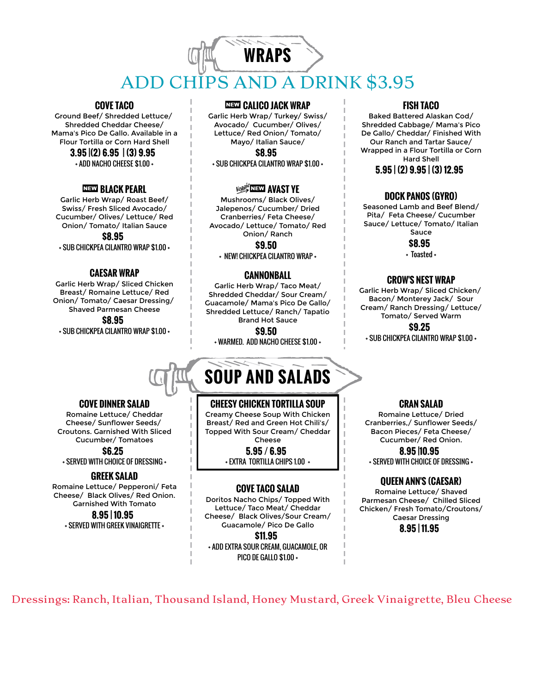### **WRAPS** ADD CHIPS AND A DRINK \$3.95

### **COVE TACO**

Ground Beef/ Shredded Lettuce/ Shredded Cheddar Cheese/ Mama's Pico De Gallo. Available in a Flour Tortilla or Corn Hard Shell

### **3.95 |(2) 6.95 | (3) 9.95**

+ ADD NACHO CHEESE \$1.00 +

### ,**BLACK PEARL**

Garlic Herb Wrap/ Roast Beef/ Swiss/ Fresh Sliced Avocado/ Cucumber/ Olives/ Lettuce/ Red Onion/ Tomato/ Italian Sauce **\$8.95**

+ SUB CHICKPEA CILANTRO WRAP \$1.00 +

### **CAESAR WRAP**

Garlic Herb Wrap/ Sliced Chicken Breast/ Romaine Lettuce/ Red Onion/ Tomato/ Caesar Dressing/ Shaved Parmesan Cheese **\$8.95** + SUB CHICKPEA CILANTRO WRAP \$1.00 +

#### ,**CALICO JACK WRAP**

Garlic Herb Wrap/ Turkey/ Swiss/ Avocado/ Cucumber/ Olives/ Lettuce/ Red Onion/ Tomato/ Mayo/ Italian Sauce/ **\$8.95**

+ SUB CHICKPEA CILANTRO WRAP \$1.00 +

### *VANST YE*

Mushrooms/ Black Olives/ Jalepenos/ Cucumber/ Dried Cranberries/ Feta Cheese/ Avocado/ Lettuce/ Tomato/ Red Onion/ Ranch

**\$9.50**

+ NEW! CHICKPEA CILANTRO WRAP +

### **CANNONBALL**

Garlic Herb Wrap/ Taco Meat/ Shredded Cheddar/ Sour Cream/ Guacamole/ Mama's Pico De Gallo/ Shredded Lettuce/ Ranch/ Tapatio Brand Hot Sauce

**\$9.50**

+ WARMED. ADD NACHO CHEESE \$1.00 +

## **SOUP AND SALADS**

### **CHEESY CHICKEN TORTILLA SOUP**

Creamy Cheese Soup With Chicken Breast/ Red and Green Hot Chili's/ Topped With Sour Cream/ Cheddar Cheese

> **5.95 / 6.95** + EXTRA TORTILLA CHIPS 1.00 +

### **COVE TACO SALAD**

Doritos Nacho Chips/ Topped With Lettuce/ Taco Meat/ Cheddar Cheese/ Black Olives/Sour Cream/ Guacamole/ Pico De Gallo

**\$11.95**

+ ADD EXTRA SOUR CREAM, GUACAMOLE, OR PICO DE GALLO \$1.00 +

### **FISH TACO**

Baked Battered Alaskan Cod/ Shredded Cabbage/ Mama's Pico De Gallo/ Cheddar/ Finished With Our Ranch and Tartar Sauce/ Wrapped in a Flour Tortilla or Corn Hard Shell

**5.95 | (2) 9.95 | (3) 12.95**

### **DOCK PANOS (GYRO)**

Seasoned Lamb and Beef Blend/ Pita/ Feta Cheese/ Cucumber Sauce/ Lettuce/ Tomato/ Italian Sauce

**\$8.95**

+ Toasted +

### **CROW'S NEST WRAP**

Garlic Herb Wrap/ Sliced Chicken/ Bacon/ Monterey Jack/ Sour Cream/ Ranch Dressing/ Lettuce/ Tomato/ Served Warm

**\$9.25**

+ SUB CHICKPEA CILANTRO WRAP \$1.00 +

#### **CRAN SALAD**

Romaine Lettuce/ Dried Cranberries,/ Sunflower Seeds/ Bacon Pieces/ Feta Cheese/ Cucumber/ Red Onion.

**8.95 |10.95** + SERVED WITH CHOICE OF DRESSING +

### **QUEEN ANN'S (CAESAR)**

Romaine Lettuce/ Shaved Parmesan Cheese/ Chilled Sliced Chicken/ Fresh Tomato/Croutons/ Caesar Dressing **8.95 | 11.95**

Dressings: Ranch, Italian, Thousand Island, Honey Mustard, Greek Vinaigrette, Bleu Cheese

### **COVE DINNER SALAD**

Romaine Lettuce/ Cheddar Cheese/ Sunflower Seeds/ Croutons. Garnished With Sliced Cucumber/ Tomatoes

**\$6.25** + SERVED WITH CHOICE OF DRESSING +

### **GREEK SALAD**

Romaine Lettuce/ Pepperoni/ Feta Cheese/ Black Olives/ Red Onion. Garnished With Tomato **8.95 | 10.95**

+ SERVED WITH GREEK VINAIGRETTE +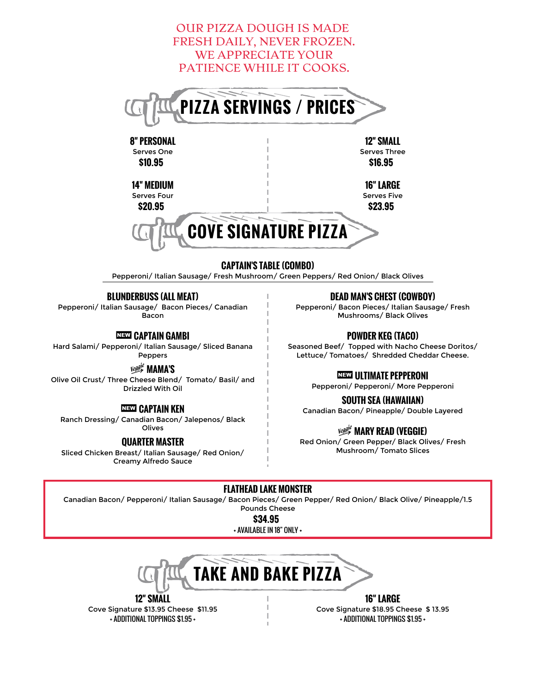

### **CAPTAIN'S TABLE (COMBO)**

Pepperoni/ Italian Sausage/ Fresh Mushroom/ Green Peppers/ Red Onion/ Black Olives

### **BLUNDERBUSS (ALL MEAT)**

Pepperoni/ Italian Sausage/ Bacon Pieces/ Canadian Bacon

,**CAPTAIN GAMBI**

Hard Salami/ Pepperoni/ Italian Sausage/ Sliced Banana Peppers

À**MAMA'S**

Olive Oil Crust/ Three Cheese Blend/ Tomato/ Basil/ and Drizzled With Oil

### ,**CAPTAIN KEN**

Ranch Dressing/ Canadian Bacon/ Jalepenos/ Black Olives

### **QUARTER MASTER**

Sliced Chicken Breast/ Italian Sausage/ Red Onion/ Creamy Alfredo Sauce

**DEAD MAN'S CHEST (COWBOY)**

Pepperoni/ Bacon Pieces/ Italian Sausage/ Fresh Mushrooms/ Black Olives

### **POWDER KEG (TACO)**

Seasoned Beef/ Topped with Nacho Cheese Doritos/ Lettuce/ Tomatoes/ Shredded Cheddar Cheese.

### ,**ULTIMATE PEPPERONI**

Pepperoni/ Pepperoni/ More Pepperoni

### **SOUTH SEA (HAWAIIAN)**

Canadian Bacon/ Pineapple/ Double Layered

### À**MARY READ (VEGGIE)**

Red Onion/ Green Pepper/ Black Olives/ Fresh Mushroom/ Tomato Slices

### **FLATHEAD LAKE MONSTER**

Canadian Bacon/ Pepperoni/ Italian Sausage/ Bacon Pieces/ Green Pepper/ Red Onion/ Black Olive/ Pineapple/1.5 Pounds Cheese

**\$34.95**

+ AVAILABLE IN 18" ONLY +



**12" SMALL** Cove Signature \$13.95 Cheese \$11.95 + ADDITIONAL TOPPINGS \$1.95 +

**16" LARGE** Cove Signature \$18.95 Cheese \$ 13.95 + ADDITIONAL TOPPINGS \$1.95 +